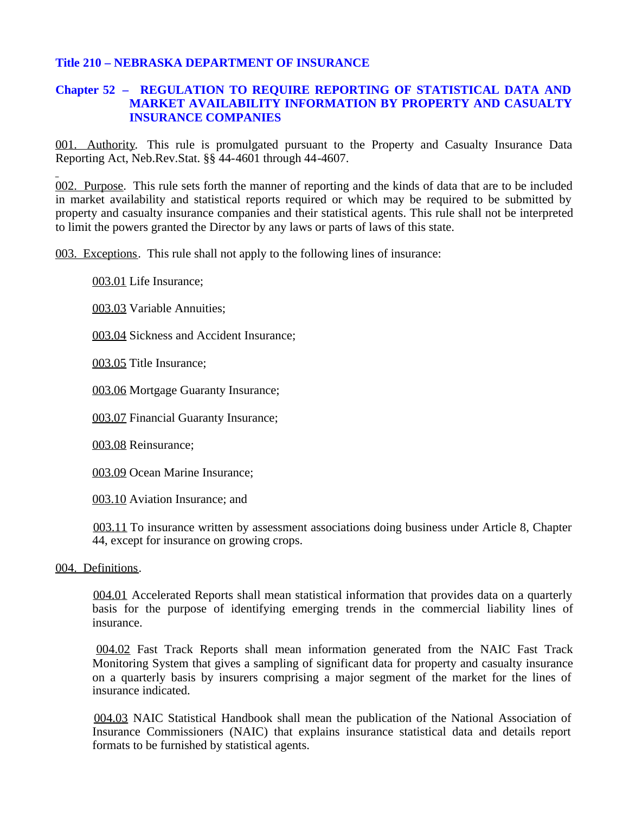## **Title 210 – NEBRASKA DEPARTMENT OF INSURANCE**

## **Chapter 52 – REGULATION TO REQUIRE REPORTING OF STATISTICAL DATA AND MARKET AVAILABILITY INFORMATION BY PROPERTY AND CASUALTY INSURANCE COMPANIES**

001. Authority. This rule is promulgated pursuant to the Property and Casualty Insurance Data Reporting Act, Neb.Rev.Stat. §§ 44-4601 through 44-4607.

002. Purpose. This rule sets forth the manner of reporting and the kinds of data that are to be included in market availability and statistical reports required or which may be required to be submitted by property and casualty insurance companies and their statistical agents. This rule shall not be interpreted to limit the powers granted the Director by any laws or parts of laws of this state.

003. Exceptions. This rule shall not apply to the following lines of insurance:

003.01 Life Insurance;

003.03 Variable Annuities;

003.04 Sickness and Accident Insurance;

003.05 Title Insurance;

003.06 Mortgage Guaranty Insurance;

003.07 Financial Guaranty Insurance;

003.08 Reinsurance;

003.09 Ocean Marine Insurance;

003.10 Aviation Insurance; and

 003.11 To insurance written by assessment associations doing business under Article 8, Chapter 44, except for insurance on growing crops.

## 004. Definitions.

 004.01 Accelerated Reports shall mean statistical information that provides data on a quarterly basis for the purpose of identifying emerging trends in the commercial liability lines of insurance.

 004.02 Fast Track Reports shall mean information generated from the NAIC Fast Track Monitoring System that gives a sampling of significant data for property and casualty insurance on a quarterly basis by insurers comprising a major segment of the market for the lines of insurance indicated.

 004.03 NAIC Statistical Handbook shall mean the publication of the National Association of Insurance Commissioners (NAIC) that explains insurance statistical data and details report formats to be furnished by statistical agents.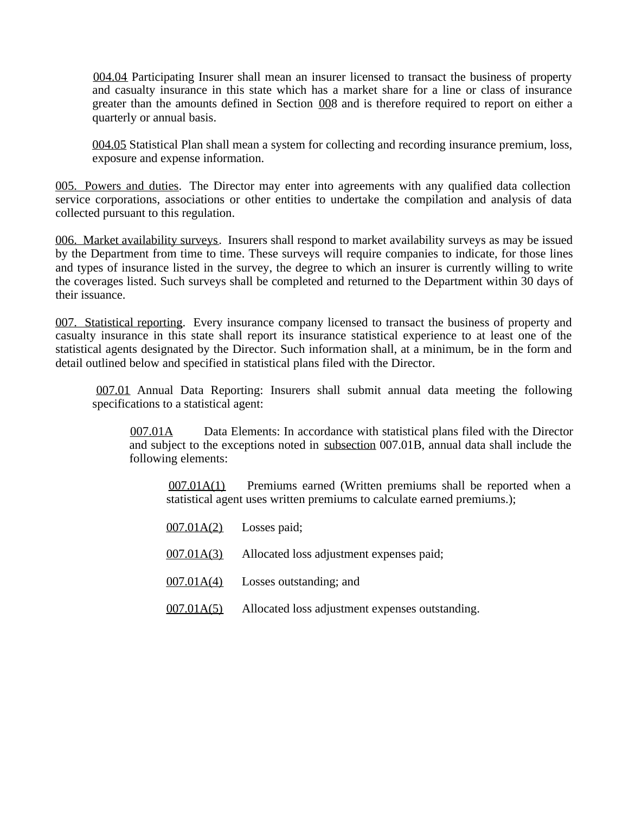004.04 Participating Insurer shall mean an insurer licensed to transact the business of property and casualty insurance in this state which has a market share for a line or class of insurance greater than the amounts defined in Section 008 and is therefore required to report on either a quarterly or annual basis.

 004.05 Statistical Plan shall mean a system for collecting and recording insurance premium, loss, exposure and expense information.

005. Powers and duties. The Director may enter into agreements with any qualified data collection service corporations, associations or other entities to undertake the compilation and analysis of data collected pursuant to this regulation.

006. Market availability surveys. Insurers shall respond to market availability surveys as may be issued by the Department from time to time. These surveys will require companies to indicate, for those lines and types of insurance listed in the survey, the degree to which an insurer is currently willing to write the coverages listed. Such surveys shall be completed and returned to the Department within 30 days of their issuance.

007. Statistical reporting. Every insurance company licensed to transact the business of property and casualty insurance in this state shall report its insurance statistical experience to at least one of the statistical agents designated by the Director. Such information shall, at a minimum, be in the form and detail outlined below and specified in statistical plans filed with the Director.

 007.01 Annual Data Reporting: Insurers shall submit annual data meeting the following specifications to a statistical agent:

 007.01A Data Elements: In accordance with statistical plans filed with the Director and subject to the exceptions noted in subsection 007.01B, annual data shall include the following elements:

 007.01A(1) Premiums earned (Written premiums shall be reported when a statistical agent uses written premiums to calculate earned premiums.);

|            | $007.01A(2)$ Losses paid;                           |
|------------|-----------------------------------------------------|
|            | 007.01A(3) Allocated loss adjustment expenses paid; |
|            | $\underline{007.01A(4)}$ Losses outstanding; and    |
| 007.01A(5) | Allocated loss adjustment expenses outstanding.     |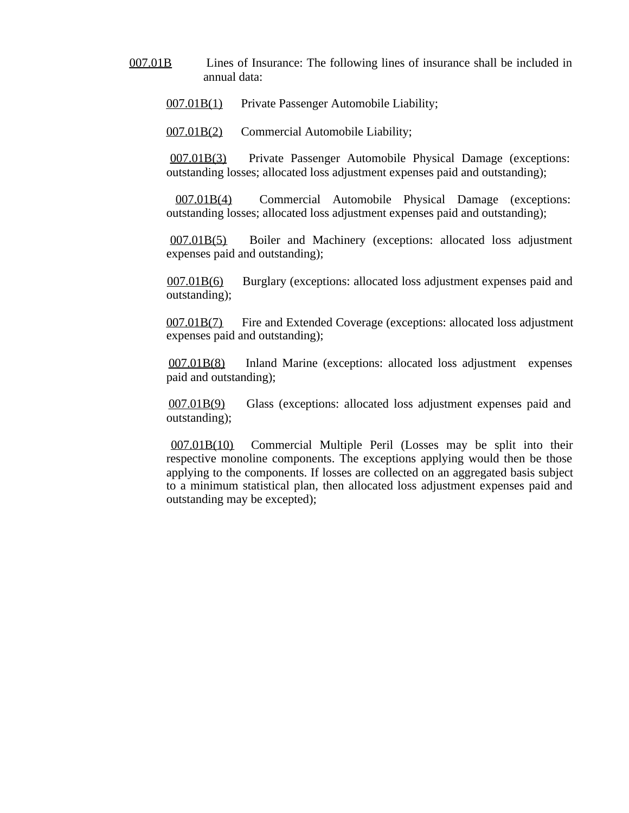007.01B Lines of Insurance: The following lines of insurance shall be included in annual data:

007.01B(1) Private Passenger Automobile Liability;

007.01B(2) Commercial Automobile Liability;

 007.01B(3) Private Passenger Automobile Physical Damage (exceptions: outstanding losses; allocated loss adjustment expenses paid and outstanding);

 007.01B(4) Commercial Automobile Physical Damage (exceptions: outstanding losses; allocated loss adjustment expenses paid and outstanding);

 007.01B(5) Boiler and Machinery (exceptions: allocated loss adjustment expenses paid and outstanding);

 007.01B(6) Burglary (exceptions: allocated loss adjustment expenses paid and outstanding);

 007.01B(7) Fire and Extended Coverage (exceptions: allocated loss adjustment expenses paid and outstanding);

 007.01B(8) Inland Marine (exceptions: allocated loss adjustment expenses paid and outstanding);

 007.01B(9) Glass (exceptions: allocated loss adjustment expenses paid and outstanding);

 007.01B(10) Commercial Multiple Peril (Losses may be split into their respective monoline components. The exceptions applying would then be those applying to the components. If losses are collected on an aggregated basis subject to a minimum statistical plan, then allocated loss adjustment expenses paid and outstanding may be excepted);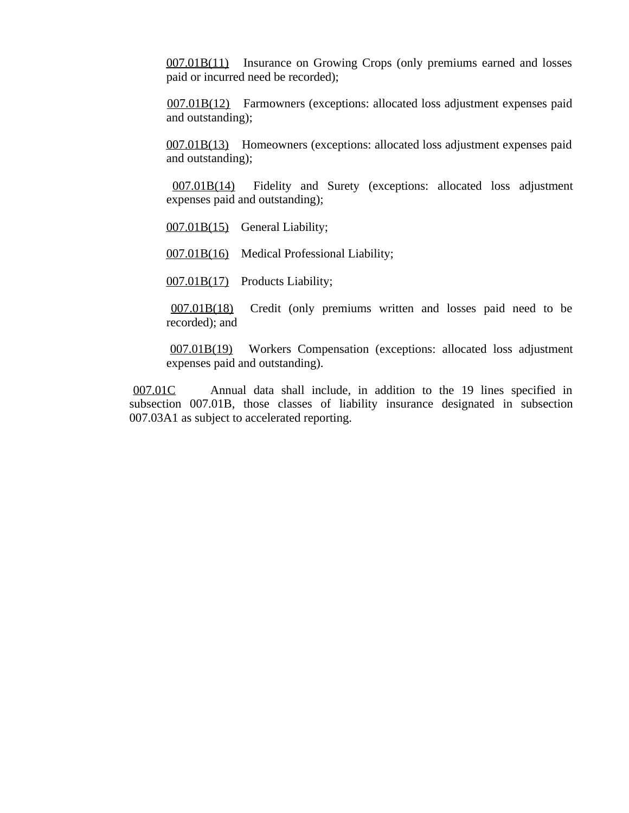007.01B(11) Insurance on Growing Crops (only premiums earned and losses paid or incurred need be recorded);

 007.01B(12) Farmowners (exceptions: allocated loss adjustment expenses paid and outstanding);

007.01B(13) Homeowners (exceptions: allocated loss adjustment expenses paid and outstanding);

 007.01B(14) Fidelity and Surety (exceptions: allocated loss adjustment expenses paid and outstanding);

007.01B(15) General Liability;

007.01B(16) Medical Professional Liability;

007.01B(17) Products Liability;

 007.01B(18) Credit (only premiums written and losses paid need to be recorded); and

 007.01B(19) Workers Compensation (exceptions: allocated loss adjustment expenses paid and outstanding).

 007.01C Annual data shall include, in addition to the 19 lines specified in subsection 007.01B, those classes of liability insurance designated in subsection 007.03A1 as subject to accelerated reporting.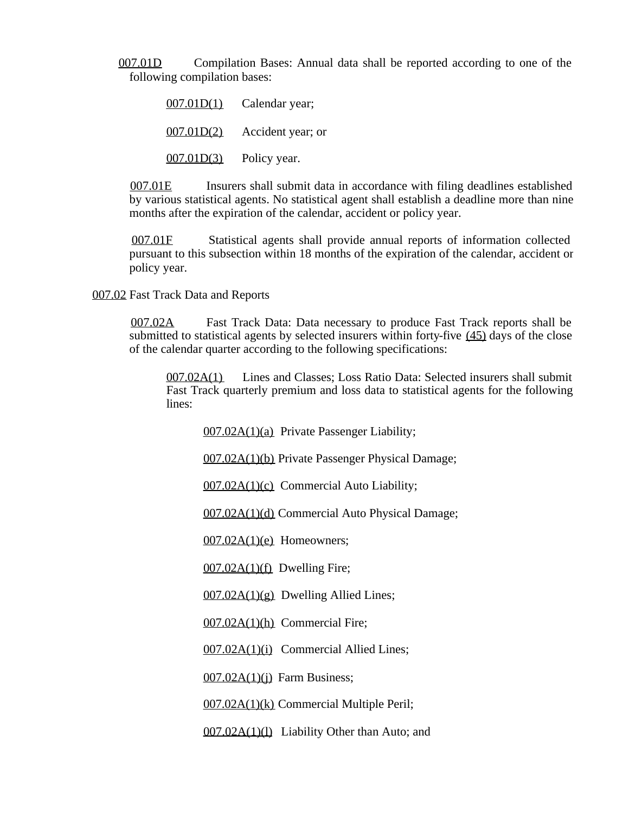007.01D Compilation Bases: Annual data shall be reported according to one of the following compilation bases:

> 007.01D(1) Calendar year; 007.01D(2) Accident year; or

007.01D(3) Policy year.

 007.01E Insurers shall submit data in accordance with filing deadlines established by various statistical agents. No statistical agent shall establish a deadline more than nine months after the expiration of the calendar, accident or policy year.

 007.01F Statistical agents shall provide annual reports of information collected pursuant to this subsection within 18 months of the expiration of the calendar, accident or policy year.

007.02 Fast Track Data and Reports

 007.02A Fast Track Data: Data necessary to produce Fast Track reports shall be submitted to statistical agents by selected insurers within forty-five (45) days of the close of the calendar quarter according to the following specifications:

 007.02A(1) Lines and Classes; Loss Ratio Data: Selected insurers shall submit Fast Track quarterly premium and loss data to statistical agents for the following lines:

007.02A(1)(a) Private Passenger Liability;

007.02A(1)(b) Private Passenger Physical Damage;

007.02A(1)(c) Commercial Auto Liability;

007.02A(1)(d) Commercial Auto Physical Damage;

 $007.02A(1)(e)$  Homeowners;

 $007.02A(1)(f)$  Dwelling Fire;

 $007.02A(1)(g)$  Dwelling Allied Lines;

007.02A(1)(h) Commercial Fire;

007.02A(1)(i) Commercial Allied Lines;

 $007.02A(1)(i)$  Farm Business;

007.02A(1)(k) Commercial Multiple Peril;

007.02A(1)(l) Liability Other than Auto; and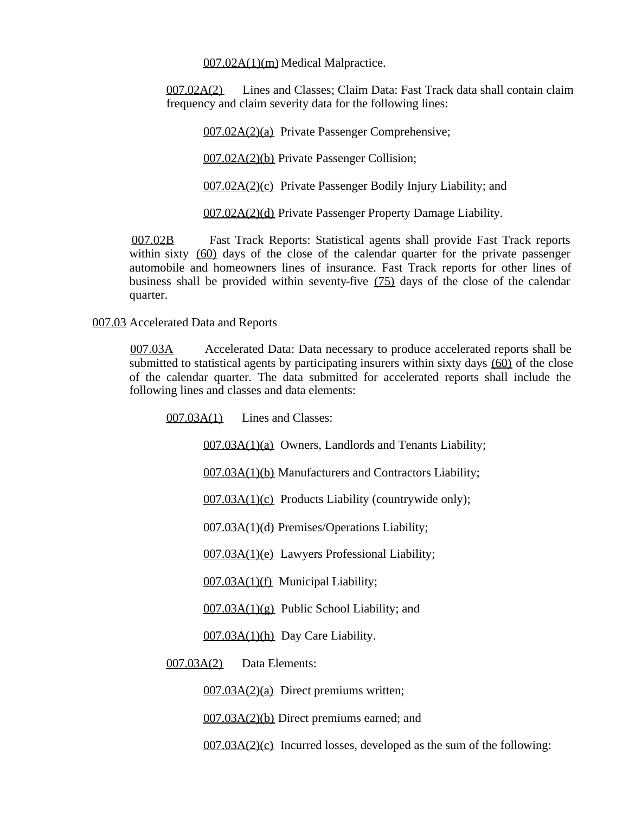007.02A(1)(m) Medical Malpractice.

 007.02A(2) Lines and Classes; Claim Data: Fast Track data shall contain claim frequency and claim severity data for the following lines:

007.02A(2)(a) Private Passenger Comprehensive;

007.02A(2)(b) Private Passenger Collision;

007.02A(2)(c) Private Passenger Bodily Injury Liability; and

007.02A(2)(d) Private Passenger Property Damage Liability.

 007.02B Fast Track Reports: Statistical agents shall provide Fast Track reports within sixty (60) days of the close of the calendar quarter for the private passenger automobile and homeowners lines of insurance. Fast Track reports for other lines of business shall be provided within seventy-five (75) days of the close of the calendar quarter.

007.03 Accelerated Data and Reports

 007.03A Accelerated Data: Data necessary to produce accelerated reports shall be submitted to statistical agents by participating insurers within sixty days (60) of the close of the calendar quarter. The data submitted for accelerated reports shall include the following lines and classes and data elements:

007.03A(1) Lines and Classes:

007.03A(1)(a) Owners, Landlords and Tenants Liability;

007.03A(1)(b) Manufacturers and Contractors Liability;

007.03A(1)(c) Products Liability (countrywide only);

007.03A(1)(d) Premises/Operations Liability;

007.03A(1)(e) Lawyers Professional Liability;

007.03A(1)(f) Municipal Liability;

 $007.03A(1)(g)$  Public School Liability; and

007.03A(1)(h) Day Care Liability.

007.03A(2) Data Elements:

007.03A(2)(a) Direct premiums written;

007.03A(2)(b) Direct premiums earned; and

007.03A(2)(c) Incurred losses, developed as the sum of the following: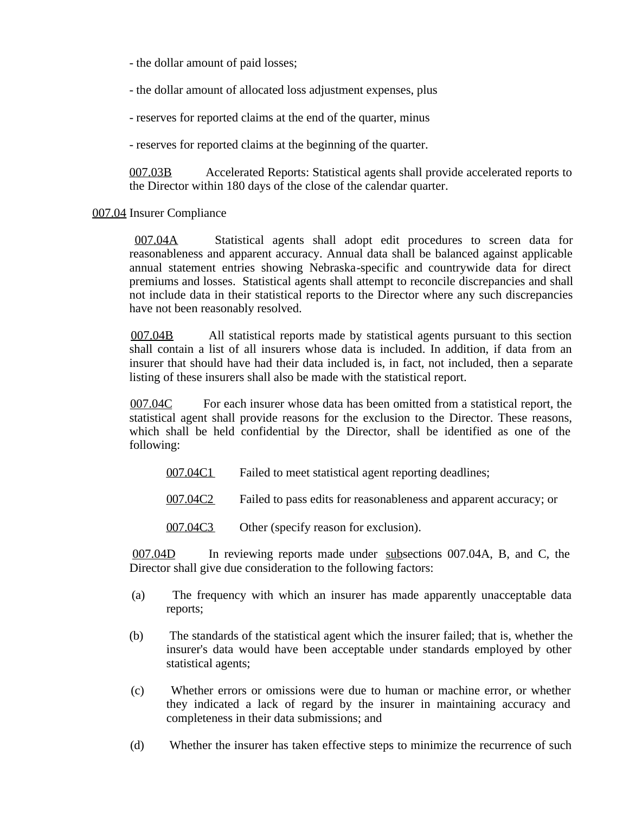- the dollar amount of paid losses;

- the dollar amount of allocated loss adjustment expenses, plus

- reserves for reported claims at the end of the quarter, minus

- reserves for reported claims at the beginning of the quarter.

 007.03B Accelerated Reports: Statistical agents shall provide accelerated reports to the Director within 180 days of the close of the calendar quarter.

## 007.04 Insurer Compliance

 007.04A Statistical agents shall adopt edit procedures to screen data for reasonableness and apparent accuracy. Annual data shall be balanced against applicable annual statement entries showing Nebraska-specific and countrywide data for direct premiums and losses. Statistical agents shall attempt to reconcile discrepancies and shall not include data in their statistical reports to the Director where any such discrepancies have not been reasonably resolved.

 007.04B All statistical reports made by statistical agents pursuant to this section shall contain a list of all insurers whose data is included. In addition, if data from an insurer that should have had their data included is, in fact, not included, then a separate listing of these insurers shall also be made with the statistical report.

 007.04C For each insurer whose data has been omitted from a statistical report, the statistical agent shall provide reasons for the exclusion to the Director. These reasons, which shall be held confidential by the Director, shall be identified as one of the following:

- 007.04C1 Failed to meet statistical agent reporting deadlines;
- 007.04C2 Failed to pass edits for reasonableness and apparent accuracy; or
- 007.04C3 Other (specify reason for exclusion).

 007.04D In reviewing reports made under subsections 007.04A, B, and C, the Director shall give due consideration to the following factors:

- (a) The frequency with which an insurer has made apparently unacceptable data reports;
- (b) The standards of the statistical agent which the insurer failed; that is, whether the insurer's data would have been acceptable under standards employed by other statistical agents;
- (c) Whether errors or omissions were due to human or machine error, or whether they indicated a lack of regard by the insurer in maintaining accuracy and completeness in their data submissions; and
- (d) Whether the insurer has taken effective steps to minimize the recurrence of such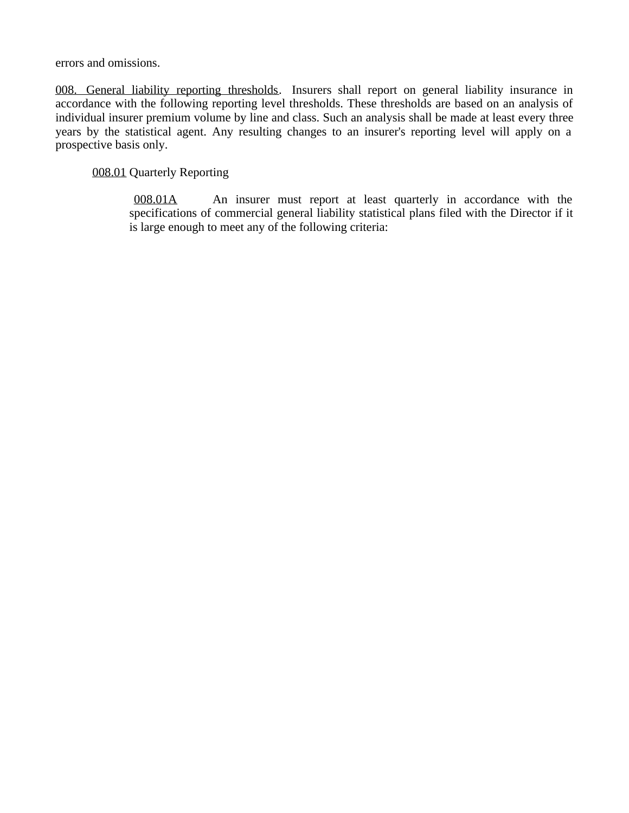errors and omissions.

008. General liability reporting thresholds. Insurers shall report on general liability insurance in accordance with the following reporting level thresholds. These thresholds are based on an analysis of individual insurer premium volume by line and class. Such an analysis shall be made at least every three years by the statistical agent. Any resulting changes to an insurer's reporting level will apply on a prospective basis only.

008.01 Quarterly Reporting

 008.01A An insurer must report at least quarterly in accordance with the specifications of commercial general liability statistical plans filed with the Director if it is large enough to meet any of the following criteria: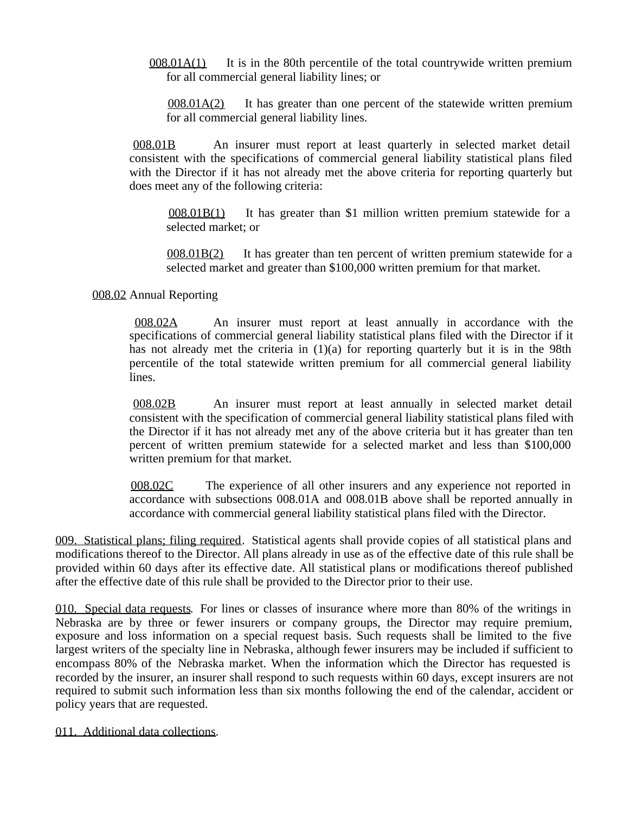$008.01A(1)$  It is in the 80th percentile of the total countrywide written premium for all commercial general liability lines; or

 $008.01A(2)$  It has greater than one percent of the statewide written premium for all commercial general liability lines.

 008.01B An insurer must report at least quarterly in selected market detail consistent with the specifications of commercial general liability statistical plans filed with the Director if it has not already met the above criteria for reporting quarterly but does meet any of the following criteria:

 008.01B(1) It has greater than \$1 million written premium statewide for a selected market; or

 008.01B(2) It has greater than ten percent of written premium statewide for a selected market and greater than \$100,000 written premium for that market.

008.02 Annual Reporting

 008.02A An insurer must report at least annually in accordance with the specifications of commercial general liability statistical plans filed with the Director if it has not already met the criteria in  $(1)(a)$  for reporting quarterly but it is in the 98th percentile of the total statewide written premium for all commercial general liability lines.

 008.02B An insurer must report at least annually in selected market detail consistent with the specification of commercial general liability statistical plans filed with the Director if it has not already met any of the above criteria but it has greater than ten percent of written premium statewide for a selected market and less than \$100,000 written premium for that market.

 008.02C The experience of all other insurers and any experience not reported in accordance with subsections 008.01A and 008.01B above shall be reported annually in accordance with commercial general liability statistical plans filed with the Director.

009. Statistical plans; filing required. Statistical agents shall provide copies of all statistical plans and modifications thereof to the Director. All plans already in use as of the effective date of this rule shall be provided within 60 days after its effective date. All statistical plans or modifications thereof published after the effective date of this rule shall be provided to the Director prior to their use.

010. Special data requests. For lines or classes of insurance where more than 80% of the writings in Nebraska are by three or fewer insurers or company groups, the Director may require premium, exposure and loss information on a special request basis. Such requests shall be limited to the five largest writers of the specialty line in Nebraska, although fewer insurers may be included if sufficient to encompass 80% of the Nebraska market. When the information which the Director has requested is recorded by the insurer, an insurer shall respond to such requests within 60 days, except insurers are not required to submit such information less than six months following the end of the calendar, accident or policy years that are requested.

011. Additional data collections.